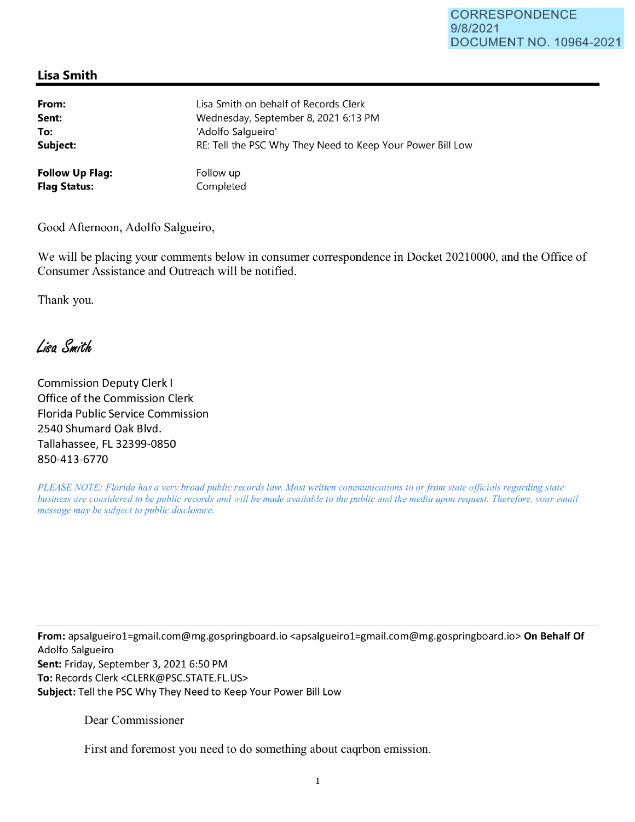## **Lisa Smith**

| From:                  | Lisa Smith on behalf of Records Clerk                      |
|------------------------|------------------------------------------------------------|
| Sent:                  | Wednesday, September 8, 2021 6:13 PM                       |
| To:                    | 'Adolfo Salgueiro'                                         |
| Subject:               | RE: Tell the PSC Why They Need to Keep Your Power Bill Low |
| <b>Follow Up Flag:</b> | Follow up                                                  |
| <b>Flag Status:</b>    | Completed                                                  |

Good Afternoon, Adolfo Salgueiro,

We will be placing your comments below in consumer correspondence in Docket 20210000, and the Office of Consumer Assistance and Outreach will be notified.

Thank you.

Lisa Smith

Commission Deputy Clerk I Office of the Commission Clerk Florida Public Service Commission 2540 Shumard Oak Blvd. Tallahassee, FL 32399-0850 850-413-6770

*PLEASE NOTE: Florida has a very broad public records law. Most written communications to or from state officials regarding state business are considered to be public records and will be made available to the public and the media upon request. Therefore, your email message may be subject to public disclosure.* 

**From:** apsalgueirol=gmail.com@mg.gospringboard.io <apsalgueirol=gmail.com@mg.gospringboard.io> **On Behalf Of**  Adolfo Salgueiro **Sent:** Friday, September 3, 2021 6:50 PM **To:** Records Clerk <CLERK@PSC.STATE.FL.US> **Subject:** Tell the PSC Why They Need to Keep Your Power Bill Low

Dear Commissioner

First and foremost you need to do something about caqrbon emission.